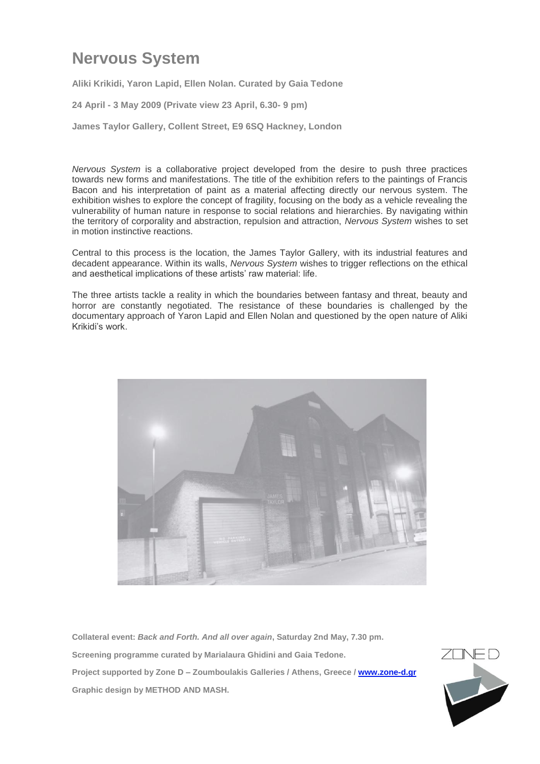## **Nervous System**

**Aliki Krikidi, Yaron Lapid, Ellen Nolan. Curated by Gaia Tedone**

**24 April - 3 May 2009 (Private view 23 April, 6.30- 9 pm)**

**James Taylor Gallery, Collent Street, E9 6SQ Hackney, London** 

*Nervous System* is a collaborative project developed from the desire to push three practices towards new forms and manifestations. The title of the exhibition refers to the paintings of Francis Bacon and his interpretation of paint as a material affecting directly our nervous system. The exhibition wishes to explore the concept of fragility, focusing on the body as a vehicle revealing the vulnerability of human nature in response to social relations and hierarchies. By navigating within the territory of corporality and abstraction, repulsion and attraction, *Nervous System* wishes to set in motion instinctive reactions.

Central to this process is the location, the James Taylor Gallery, with its industrial features and decadent appearance. Within its walls, *Nervous System* wishes to trigger reflections on the ethical and aesthetical implications of these artists' raw material: life.

The three artists tackle a reality in which the boundaries between fantasy and threat, beauty and horror are constantly negotiated. The resistance of these boundaries is challenged by the documentary approach of Yaron Lapid and Ellen Nolan and questioned by the open nature of Aliki Krikidi's work.



**Collateral event:** *Back and Forth. And all over again***, Saturday 2nd May, 7.30 pm. Screening programme curated by Marialaura Ghidini and Gaia Tedone. Project supported by Zone D – Zoumboulakis Galleries / Athens, Greece / [www.zone-d.gr](http://www.zone-d.gr/) Graphic design by METHOD AND MASH.**